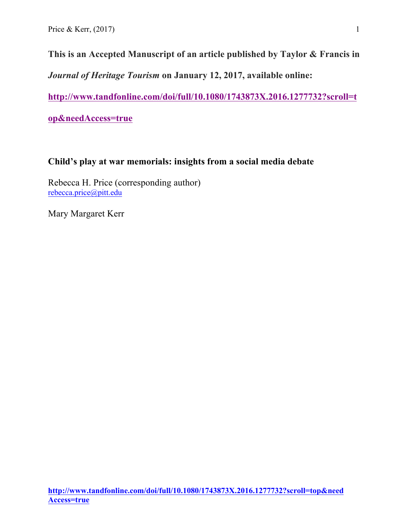**This is an Accepted Manuscript of an article published by Taylor & Francis in** 

*Journal of Heritage Tourism* **on January 12, 2017, available online:**

**http://www.tandfonline.com/doi/full/10.1080/1743873X.2016.1277732?scroll=t**

**op&needAccess=true**

# **Child's play at war memorials: insights from a social media debate**

Rebecca H. Price (corresponding author) rebecca.price@pitt.edu

Mary Margaret Kerr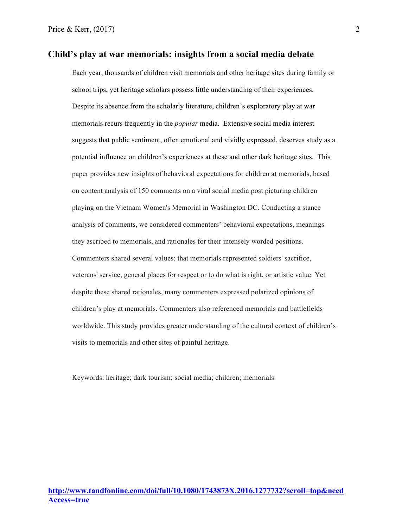# **Child's play at war memorials: insights from a social media debate**

Each year, thousands of children visit memorials and other heritage sites during family or school trips, yet heritage scholars possess little understanding of their experiences. Despite its absence from the scholarly literature, children's exploratory play at war memorials recurs frequently in the *popular* media. Extensive social media interest suggests that public sentiment, often emotional and vividly expressed, deserves study as a potential influence on children's experiences at these and other dark heritage sites. This paper provides new insights of behavioral expectations for children at memorials, based on content analysis of 150 comments on a viral social media post picturing children playing on the Vietnam Women's Memorial in Washington DC. Conducting a stance analysis of comments, we considered commenters' behavioral expectations, meanings they ascribed to memorials, and rationales for their intensely worded positions. Commenters shared several values: that memorials represented soldiers' sacrifice, veterans' service, general places for respect or to do what is right, or artistic value. Yet despite these shared rationales, many commenters expressed polarized opinions of children's play at memorials. Commenters also referenced memorials and battlefields worldwide. This study provides greater understanding of the cultural context of children's visits to memorials and other sites of painful heritage.

Keywords: heritage; dark tourism; social media; children; memorials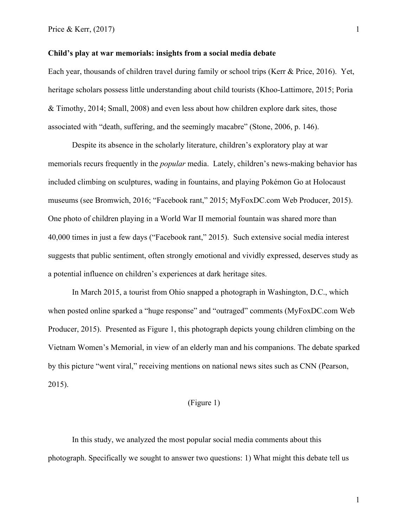#### **Child's play at war memorials: insights from a social media debate**

Each year, thousands of children travel during family or school trips (Kerr & Price, 2016). Yet, heritage scholars possess little understanding about child tourists (Khoo-Lattimore, 2015; Poria & Timothy, 2014; Small, 2008) and even less about how children explore dark sites, those associated with "death, suffering, and the seemingly macabre" (Stone, 2006, p. 146).

Despite its absence in the scholarly literature, children's exploratory play at war memorials recurs frequently in the *popular* media. Lately, children's news-making behavior has included climbing on sculptures, wading in fountains, and playing Pokémon Go at Holocaust museums (see Bromwich, 2016; "Facebook rant," 2015; MyFoxDC.com Web Producer, 2015). One photo of children playing in a World War II memorial fountain was shared more than 40,000 times in just a few days ("Facebook rant," 2015). Such extensive social media interest suggests that public sentiment, often strongly emotional and vividly expressed, deserves study as a potential influence on children's experiences at dark heritage sites.

In March 2015, a tourist from Ohio snapped a photograph in Washington, D.C., which when posted online sparked a "huge response" and "outraged" comments (MyFoxDC.com Web Producer, 2015). Presented as Figure 1, this photograph depicts young children climbing on the Vietnam Women's Memorial, in view of an elderly man and his companions. The debate sparked by this picture "went viral," receiving mentions on national news sites such as CNN (Pearson, 2015).

# (Figure 1)

In this study, we analyzed the most popular social media comments about this photograph. Specifically we sought to answer two questions: 1) What might this debate tell us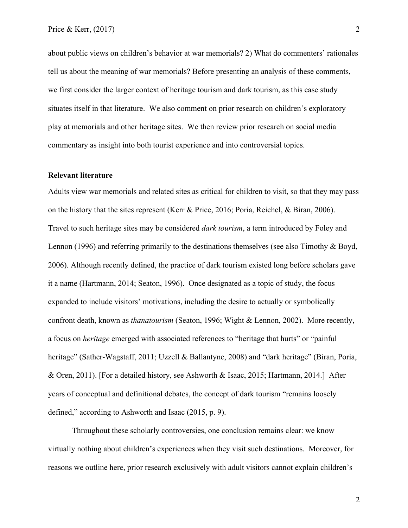about public views on children's behavior at war memorials? 2) What do commenters' rationales tell us about the meaning of war memorials? Before presenting an analysis of these comments, we first consider the larger context of heritage tourism and dark tourism, as this case study situates itself in that literature. We also comment on prior research on children's exploratory play at memorials and other heritage sites. We then review prior research on social media commentary as insight into both tourist experience and into controversial topics.

#### **Relevant literature**

Adults view war memorials and related sites as critical for children to visit, so that they may pass on the history that the sites represent (Kerr & Price, 2016; Poria, Reichel, & Biran, 2006). Travel to such heritage sites may be considered *dark tourism*, a term introduced by Foley and Lennon (1996) and referring primarily to the destinations themselves (see also Timothy & Boyd, 2006). Although recently defined, the practice of dark tourism existed long before scholars gave it a name (Hartmann, 2014; Seaton, 1996). Once designated as a topic of study, the focus expanded to include visitors' motivations, including the desire to actually or symbolically confront death, known as *thanatourism* (Seaton, 1996; Wight & Lennon, 2002). More recently, a focus on *heritage* emerged with associated references to "heritage that hurts" or "painful heritage" (Sather-Wagstaff, 2011; Uzzell & Ballantyne, 2008) and "dark heritage" (Biran, Poria, & Oren, 2011). [For a detailed history, see Ashworth & Isaac, 2015; Hartmann, 2014.] After years of conceptual and definitional debates, the concept of dark tourism "remains loosely defined," according to Ashworth and Isaac (2015, p. 9).

Throughout these scholarly controversies, one conclusion remains clear: we know virtually nothing about children's experiences when they visit such destinations. Moreover, for reasons we outline here, prior research exclusively with adult visitors cannot explain children's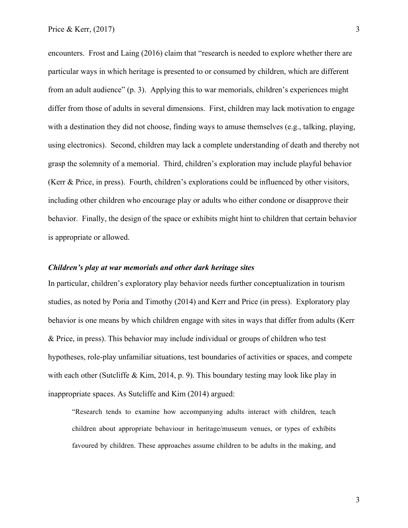encounters. Frost and Laing (2016) claim that "research is needed to explore whether there are particular ways in which heritage is presented to or consumed by children, which are different from an adult audience" (p. 3). Applying this to war memorials, children's experiences might differ from those of adults in several dimensions. First, children may lack motivation to engage with a destination they did not choose, finding ways to amuse themselves (e.g., talking, playing, using electronics). Second, children may lack a complete understanding of death and thereby not grasp the solemnity of a memorial. Third, children's exploration may include playful behavior (Kerr & Price, in press). Fourth, children's explorations could be influenced by other visitors, including other children who encourage play or adults who either condone or disapprove their behavior. Finally, the design of the space or exhibits might hint to children that certain behavior is appropriate or allowed.

## *Children's play at war memorials and other dark heritage sites*

In particular, children's exploratory play behavior needs further conceptualization in tourism studies, as noted by Poria and Timothy (2014) and Kerr and Price (in press). Exploratory play behavior is one means by which children engage with sites in ways that differ from adults (Kerr & Price, in press). This behavior may include individual or groups of children who test hypotheses, role-play unfamiliar situations, test boundaries of activities or spaces, and compete with each other (Sutcliffe & Kim, 2014, p. 9). This boundary testing may look like play in inappropriate spaces. As Sutcliffe and Kim (2014) argued:

"Research tends to examine how accompanying adults interact with children, teach children about appropriate behaviour in heritage/museum venues, or types of exhibits favoured by children. These approaches assume children to be adults in the making, and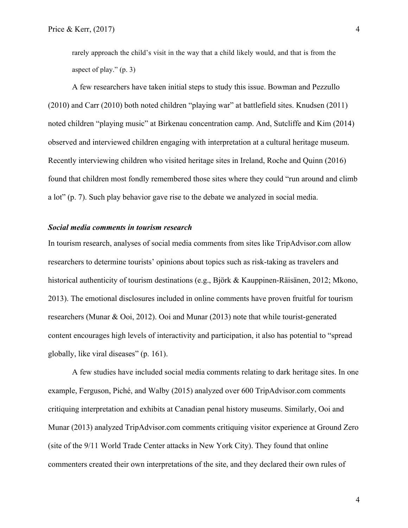rarely approach the child's visit in the way that a child likely would, and that is from the aspect of play." (p. 3)

A few researchers have taken initial steps to study this issue. Bowman and Pezzullo (2010) and Carr (2010) both noted children "playing war" at battlefield sites. Knudsen (2011) noted children "playing music" at Birkenau concentration camp. And, Sutcliffe and Kim (2014) observed and interviewed children engaging with interpretation at a cultural heritage museum. Recently interviewing children who visited heritage sites in Ireland, Roche and Quinn (2016) found that children most fondly remembered those sites where they could "run around and climb a lot" (p. 7). Such play behavior gave rise to the debate we analyzed in social media.

# *Social media comments in tourism research*

In tourism research, analyses of social media comments from sites like TripAdvisor.com allow researchers to determine tourists' opinions about topics such as risk-taking as travelers and historical authenticity of tourism destinations (e.g., Björk & Kauppinen-Räisänen, 2012; Mkono, 2013). The emotional disclosures included in online comments have proven fruitful for tourism researchers (Munar & Ooi, 2012). Ooi and Munar (2013) note that while tourist-generated content encourages high levels of interactivity and participation, it also has potential to "spread globally, like viral diseases" (p. 161).

A few studies have included social media comments relating to dark heritage sites. In one example, Ferguson, Piché, and Walby (2015) analyzed over 600 TripAdvisor.com comments critiquing interpretation and exhibits at Canadian penal history museums. Similarly, Ooi and Munar (2013) analyzed TripAdvisor.com comments critiquing visitor experience at Ground Zero (site of the 9/11 World Trade Center attacks in New York City). They found that online commenters created their own interpretations of the site, and they declared their own rules of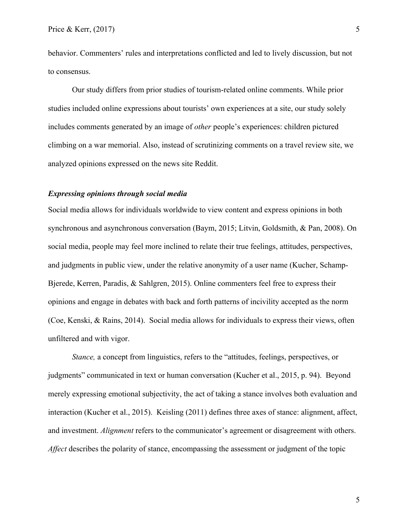behavior. Commenters' rules and interpretations conflicted and led to lively discussion, but not to consensus.

Our study differs from prior studies of tourism-related online comments. While prior studies included online expressions about tourists' own experiences at a site, our study solely includes comments generated by an image of *other* people's experiences: children pictured climbing on a war memorial. Also, instead of scrutinizing comments on a travel review site, we analyzed opinions expressed on the news site Reddit.

#### *Expressing opinions through social media*

Social media allows for individuals worldwide to view content and express opinions in both synchronous and asynchronous conversation (Baym, 2015; Litvin, Goldsmith, & Pan, 2008). On social media, people may feel more inclined to relate their true feelings, attitudes, perspectives, and judgments in public view, under the relative anonymity of a user name (Kucher, Schamp-Bjerede, Kerren, Paradis, & Sahlgren, 2015). Online commenters feel free to express their opinions and engage in debates with back and forth patterns of incivility accepted as the norm (Coe, Kenski, & Rains, 2014). Social media allows for individuals to express their views, often unfiltered and with vigor.

*Stance,* a concept from linguistics, refers to the "attitudes, feelings, perspectives, or judgments" communicated in text or human conversation (Kucher et al., 2015, p. 94). Beyond merely expressing emotional subjectivity, the act of taking a stance involves both evaluation and interaction (Kucher et al., 2015). Keisling (2011) defines three axes of stance: alignment, affect, and investment. *Alignment* refers to the communicator's agreement or disagreement with others. *Affect* describes the polarity of stance, encompassing the assessment or judgment of the topic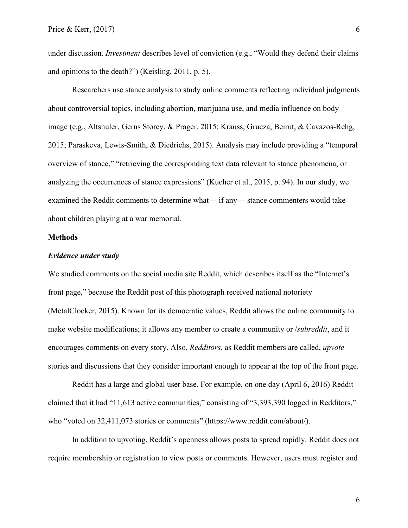under discussion. *Investment* describes level of conviction (e.g., "Would they defend their claims and opinions to the death?") (Keisling, 2011, p. 5).

Researchers use stance analysis to study online comments reflecting individual judgments about controversial topics, including abortion, marijuana use, and media influence on body image (e.g., Altshuler, Gerns Storey, & Prager, 2015; Krauss, Grucza, Beirut, & Cavazos-Rehg, 2015; Paraskeva, Lewis-Smith, & Diedrichs, 2015). Analysis may include providing a "temporal overview of stance," "retrieving the corresponding text data relevant to stance phenomena, or analyzing the occurrences of stance expressions" (Kucher et al., 2015, p. 94). In our study, we examined the Reddit comments to determine what— if any— stance commenters would take about children playing at a war memorial.

#### **Methods**

#### *Evidence under study*

We studied comments on the social media site Reddit, which describes itself as the "Internet's front page," because the Reddit post of this photograph received national notoriety (MetalClocker, 2015). Known for its democratic values, Reddit allows the online community to make website modifications; it allows any member to create a community or /*subreddit*, and it encourages comments on every story. Also, *Redditors*, as Reddit members are called, *upvote*  stories and discussions that they consider important enough to appear at the top of the front page.

Reddit has a large and global user base. For example, on one day (April 6, 2016) Reddit claimed that it had "11,613 active communities," consisting of "3,393,390 logged in Redditors," who "voted on 32,411,073 stories or comments" (https://www.reddit.com/about/).

In addition to upvoting, Reddit's openness allows posts to spread rapidly. Reddit does not require membership or registration to view posts or comments. However, users must register and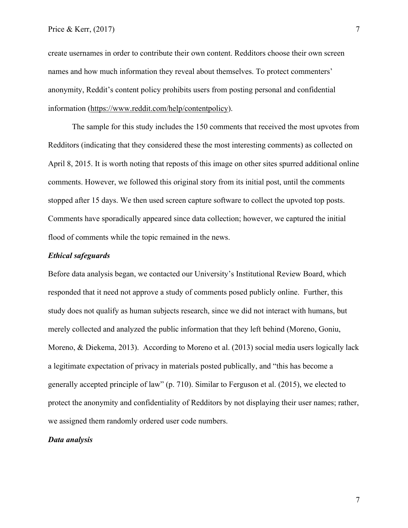create usernames in order to contribute their own content. Redditors choose their own screen names and how much information they reveal about themselves. To protect commenters' anonymity, Reddit's content policy prohibits users from posting personal and confidential information (https://www.reddit.com/help/contentpolicy).

The sample for this study includes the 150 comments that received the most upvotes from Redditors (indicating that they considered these the most interesting comments) as collected on April 8, 2015. It is worth noting that reposts of this image on other sites spurred additional online comments. However, we followed this original story from its initial post, until the comments stopped after 15 days. We then used screen capture software to collect the upvoted top posts. Comments have sporadically appeared since data collection; however, we captured the initial flood of comments while the topic remained in the news.

#### *Ethical safeguards*

Before data analysis began, we contacted our University's Institutional Review Board, which responded that it need not approve a study of comments posed publicly online. Further, this study does not qualify as human subjects research, since we did not interact with humans, but merely collected and analyzed the public information that they left behind (Moreno, Goniu, Moreno, & Diekema, 2013). According to Moreno et al. (2013) social media users logically lack a legitimate expectation of privacy in materials posted publically, and "this has become a generally accepted principle of law" (p. 710). Similar to Ferguson et al. (2015), we elected to protect the anonymity and confidentiality of Redditors by not displaying their user names; rather, we assigned them randomly ordered user code numbers.

#### *Data analysis*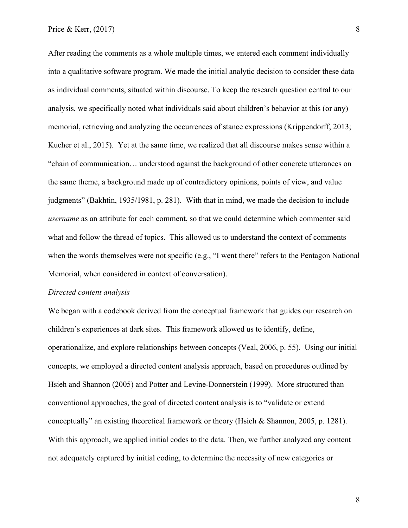After reading the comments as a whole multiple times, we entered each comment individually into a qualitative software program. We made the initial analytic decision to consider these data as individual comments, situated within discourse. To keep the research question central to our analysis, we specifically noted what individuals said about children's behavior at this (or any) memorial, retrieving and analyzing the occurrences of stance expressions (Krippendorff, 2013; Kucher et al., 2015). Yet at the same time, we realized that all discourse makes sense within a "chain of communication… understood against the background of other concrete utterances on the same theme, a background made up of contradictory opinions, points of view, and value judgments" (Bakhtin, 1935/1981, p. 281). With that in mind, we made the decision to include *username* as an attribute for each comment, so that we could determine which commenter said what and follow the thread of topics. This allowed us to understand the context of comments when the words themselves were not specific (e.g., "I went there" refers to the Pentagon National Memorial, when considered in context of conversation).

#### *Directed content analysis*

We began with a codebook derived from the conceptual framework that guides our research on children's experiences at dark sites. This framework allowed us to identify, define, operationalize, and explore relationships between concepts (Veal, 2006, p. 55). Using our initial concepts, we employed a directed content analysis approach, based on procedures outlined by Hsieh and Shannon (2005) and Potter and Levine-Donnerstein (1999). More structured than conventional approaches, the goal of directed content analysis is to "validate or extend conceptually" an existing theoretical framework or theory (Hsieh & Shannon, 2005, p. 1281). With this approach, we applied initial codes to the data. Then, we further analyzed any content not adequately captured by initial coding, to determine the necessity of new categories or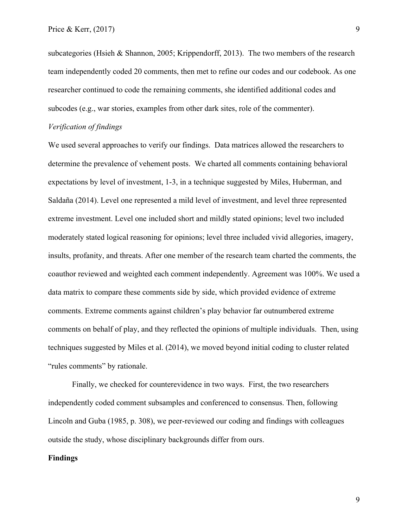subcategories (Hsieh & Shannon, 2005; Krippendorff, 2013). The two members of the research team independently coded 20 comments, then met to refine our codes and our codebook. As one researcher continued to code the remaining comments, she identified additional codes and subcodes (e.g., war stories, examples from other dark sites, role of the commenter).

#### *Verification of findings*

We used several approaches to verify our findings. Data matrices allowed the researchers to determine the prevalence of vehement posts. We charted all comments containing behavioral expectations by level of investment, 1-3, in a technique suggested by Miles, Huberman, and Saldaña (2014). Level one represented a mild level of investment, and level three represented extreme investment. Level one included short and mildly stated opinions; level two included moderately stated logical reasoning for opinions; level three included vivid allegories, imagery, insults, profanity, and threats. After one member of the research team charted the comments, the coauthor reviewed and weighted each comment independently. Agreement was 100%. We used a data matrix to compare these comments side by side, which provided evidence of extreme comments. Extreme comments against children's play behavior far outnumbered extreme comments on behalf of play, and they reflected the opinions of multiple individuals. Then, using techniques suggested by Miles et al. (2014), we moved beyond initial coding to cluster related "rules comments" by rationale.

Finally, we checked for counterevidence in two ways. First, the two researchers independently coded comment subsamples and conferenced to consensus. Then, following Lincoln and Guba (1985, p. 308), we peer-reviewed our coding and findings with colleagues outside the study, whose disciplinary backgrounds differ from ours.

#### **Findings**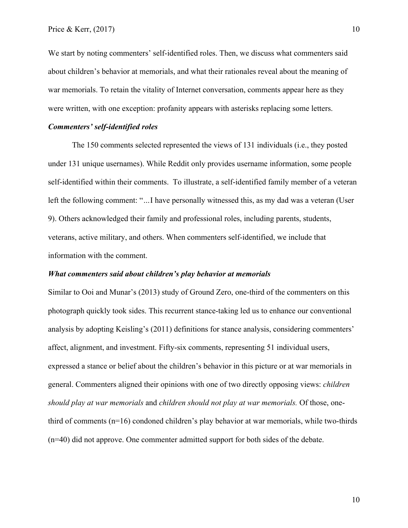We start by noting commenters' self-identified roles. Then, we discuss what commenters said about children's behavior at memorials, and what their rationales reveal about the meaning of war memorials. To retain the vitality of Internet conversation, comments appear here as they were written, with one exception: profanity appears with asterisks replacing some letters.

# *Commenters' self-identified roles*

The 150 comments selected represented the views of 131 individuals (i.e., they posted under 131 unique usernames). While Reddit only provides username information, some people self-identified within their comments. To illustrate, a self-identified family member of a veteran left the following comment: "*…*I have personally witnessed this, as my dad was a veteran (User 9). Others acknowledged their family and professional roles, including parents, students, veterans, active military, and others. When commenters self-identified, we include that information with the comment.

#### *What commenters said about children's play behavior at memorials*

Similar to Ooi and Munar's (2013) study of Ground Zero, one-third of the commenters on this photograph quickly took sides. This recurrent stance-taking led us to enhance our conventional analysis by adopting Keisling's (2011) definitions for stance analysis, considering commenters' affect, alignment, and investment. Fifty-six comments, representing 51 individual users, expressed a stance or belief about the children's behavior in this picture or at war memorials in general. Commenters aligned their opinions with one of two directly opposing views: *children should play at war memorials* and *children should not play at war memorials.* Of those, onethird of comments (n=16) condoned children's play behavior at war memorials, while two-thirds (n=40) did not approve. One commenter admitted support for both sides of the debate.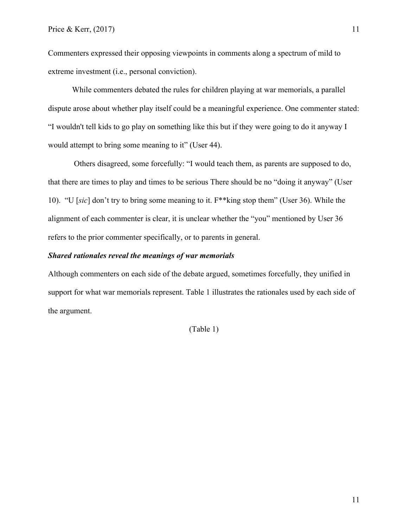Commenters expressed their opposing viewpoints in comments along a spectrum of mild to extreme investment (i.e., personal conviction).

While commenters debated the rules for children playing at war memorials, a parallel dispute arose about whether play itself could be a meaningful experience. One commenter stated: "I wouldn't tell kids to go play on something like this but if they were going to do it anyway I would attempt to bring some meaning to it" (User 44).

Others disagreed, some forcefully: "I would teach them, as parents are supposed to do, that there are times to play and times to be serious There should be no "doing it anyway" (User 10). "U [*sic*] don't try to bring some meaning to it. F\*\*king stop them" (User 36). While the alignment of each commenter is clear, it is unclear whether the "you" mentioned by User 36 refers to the prior commenter specifically, or to parents in general.

### *Shared rationales reveal the meanings of war memorials*

Although commenters on each side of the debate argued, sometimes forcefully, they unified in support for what war memorials represent. Table 1 illustrates the rationales used by each side of the argument.

(Table 1)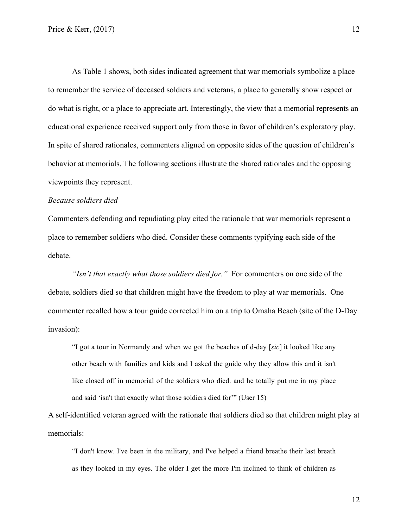As Table 1 shows, both sides indicated agreement that war memorials symbolize a place to remember the service of deceased soldiers and veterans, a place to generally show respect or do what is right, or a place to appreciate art. Interestingly, the view that a memorial represents an educational experience received support only from those in favor of children's exploratory play. In spite of shared rationales, commenters aligned on opposite sides of the question of children's behavior at memorials. The following sections illustrate the shared rationales and the opposing viewpoints they represent.

#### *Because soldiers died*

Commenters defending and repudiating play cited the rationale that war memorials represent a place to remember soldiers who died. Consider these comments typifying each side of the debate.

*"Isn't that exactly what those soldiers died for."* For commenters on one side of the debate, soldiers died so that children might have the freedom to play at war memorials. One commenter recalled how a tour guide corrected him on a trip to Omaha Beach (site of the D-Day invasion):

"I got a tour in Normandy and when we got the beaches of d-day [*sic*] it looked like any other beach with families and kids and I asked the guide why they allow this and it isn't like closed off in memorial of the soldiers who died. and he totally put me in my place and said 'isn't that exactly what those soldiers died for'" (User 15)

A self-identified veteran agreed with the rationale that soldiers died so that children might play at memorials:

"I don't know. I've been in the military, and I've helped a friend breathe their last breath as they looked in my eyes. The older I get the more I'm inclined to think of children as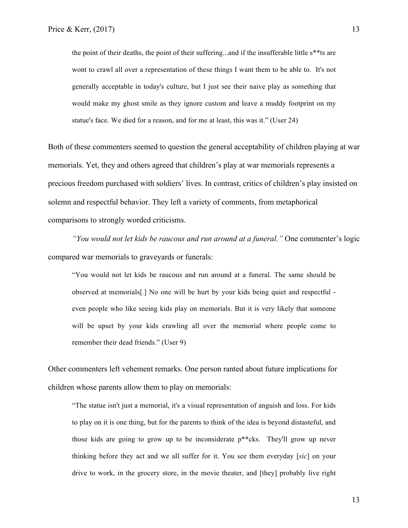the point of their deaths, the point of their suffering...and if the insufferable little s\*\*ts are wont to crawl all over a representation of these things I want them to be able to. It's not generally acceptable in today's culture, but I just see their naive play as something that would make my ghost smile as they ignore custom and leave a muddy footprint on my statue's face. We died for a reason, and for me at least, this was it." (User 24)

Both of these commenters seemed to question the general acceptability of children playing at war memorials. Yet, they and others agreed that children's play at war memorials represents a precious freedom purchased with soldiers' lives. In contrast, critics of children's play insisted on solemn and respectful behavior. They left a variety of comments, from metaphorical comparisons to strongly worded criticisms.

*"You would not let kids be raucous and run around at a funeral."* One commenter's logic compared war memorials to graveyards or funerals:

"You would not let kids be raucous and run around at a funeral. The same should be observed at memorials[*.*] No one will be hurt by your kids being quiet and respectful even people who like seeing kids play on memorials. But it is very likely that someone will be upset by your kids crawling all over the memorial where people come to remember their dead friends." (User 9)

Other commenters left vehement remarks. One person ranted about future implications for children whose parents allow them to play on memorials:

"The statue isn't just a memorial, it's a visual representation of anguish and loss. For kids to play on it is one thing, but for the parents to think of the idea is beyond distasteful, and those kids are going to grow up to be inconsiderate p\*\*cks. They'll grow up never thinking before they act and we all suffer for it. You see them everyday [*sic*] on your drive to work, in the grocery store, in the movie theater, and [they] probably live right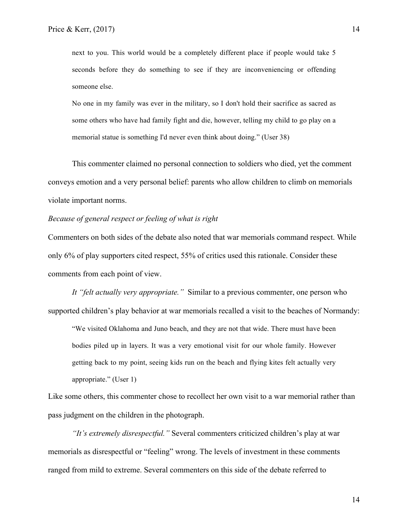next to you. This world would be a completely different place if people would take 5 seconds before they do something to see if they are inconveniencing or offending someone else.

No one in my family was ever in the military, so I don't hold their sacrifice as sacred as some others who have had family fight and die, however, telling my child to go play on a memorial statue is something I'd never even think about doing." (User 38)

This commenter claimed no personal connection to soldiers who died, yet the comment conveys emotion and a very personal belief: parents who allow children to climb on memorials violate important norms.

#### *Because of general respect or feeling of what is right*

Commenters on both sides of the debate also noted that war memorials command respect. While only 6% of play supporters cited respect, 55% of critics used this rationale. Consider these comments from each point of view.

*It "felt actually very appropriate."* Similar to a previous commenter, one person who supported children's play behavior at war memorials recalled a visit to the beaches of Normandy:

"We visited Oklahoma and Juno beach, and they are not that wide. There must have been bodies piled up in layers. It was a very emotional visit for our whole family. However getting back to my point, seeing kids run on the beach and flying kites felt actually very appropriate." (User 1)

Like some others, this commenter chose to recollect her own visit to a war memorial rather than pass judgment on the children in the photograph.

*"It's extremely disrespectful."* Several commenters criticized children's play at war memorials as disrespectful or "feeling" wrong. The levels of investment in these comments ranged from mild to extreme. Several commenters on this side of the debate referred to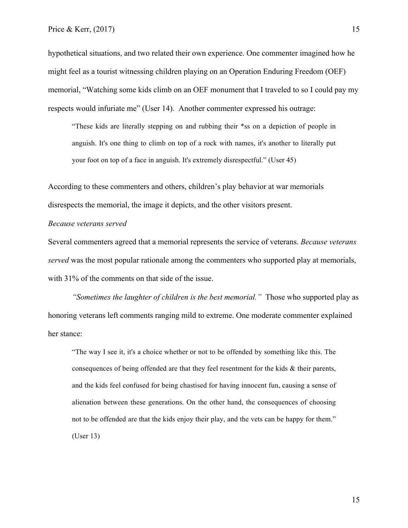hypothetical situations, and two related their own experience. One commenter imagined how he might feel as a tourist witnessing children playing on an Operation Enduring Freedom (OEF) memorial, "Watching some kids climb on an OEF monument that I traveled to so I could pay my respects would infuriate me" (User 14). Another commenter expressed his outrage:

"These kids are literally stepping on and rubbing their \*ss on a depiction of people in anguish. It's one thing to climb on top of a rock with names, it's another to literally put your foot on top of a face in anguish. It's extremely disrespectful." (User 45)

According to these commenters and others, children's play behavior at war memorials disrespects the memorial, the image it depicts, and the other visitors present.

### *Because veterans served*

Several commenters agreed that a memorial represents the service of veterans. *Because veterans served* was the most popular rationale among the commenters who supported play at memorials, with 31% of the comments on that side of the issue.

*"Sometimes the laughter of children is the best memorial."* Those who supported play as honoring veterans left comments ranging mild to extreme. One moderate commenter explained her stance:

"The way I see it, it's a choice whether or not to be offended by something like this. The consequences of being offended are that they feel resentment for the kids  $\&$  their parents, and the kids feel confused for being chastised for having innocent fun, causing a sense of alienation between these generations. On the other hand, the consequences of choosing not to be offended are that the kids enjoy their play, and the vets can be happy for them." (User 13)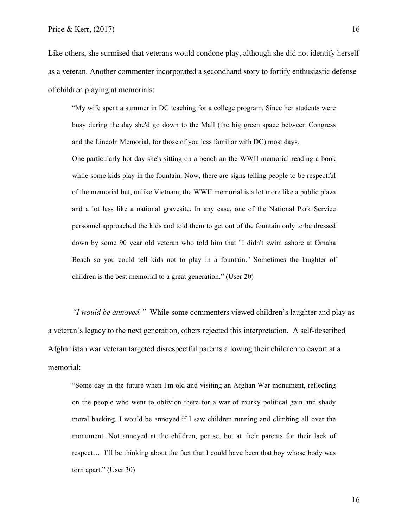Like others, she surmised that veterans would condone play, although she did not identify herself as a veteran. Another commenter incorporated a secondhand story to fortify enthusiastic defense of children playing at memorials:

"My wife spent a summer in DC teaching for a college program. Since her students were busy during the day she'd go down to the Mall (the big green space between Congress and the Lincoln Memorial, for those of you less familiar with DC) most days.

One particularly hot day she's sitting on a bench an the WWII memorial reading a book while some kids play in the fountain. Now, there are signs telling people to be respectful of the memorial but, unlike Vietnam, the WWII memorial is a lot more like a public plaza and a lot less like a national gravesite. In any case, one of the National Park Service personnel approached the kids and told them to get out of the fountain only to be dressed down by some 90 year old veteran who told him that "I didn't swim ashore at Omaha Beach so you could tell kids not to play in a fountain." Sometimes the laughter of children is the best memorial to a great generation." (User 20)

*"I would be annoyed."* While some commenters viewed children's laughter and play as a veteran's legacy to the next generation, others rejected this interpretation. A self-described Afghanistan war veteran targeted disrespectful parents allowing their children to cavort at a memorial:

"Some day in the future when I'm old and visiting an Afghan War monument, reflecting on the people who went to oblivion there for a war of murky political gain and shady moral backing, I would be annoyed if I saw children running and climbing all over the monument. Not annoyed at the children, per se, but at their parents for their lack of respect…. I'll be thinking about the fact that I could have been that boy whose body was torn apart." (User 30)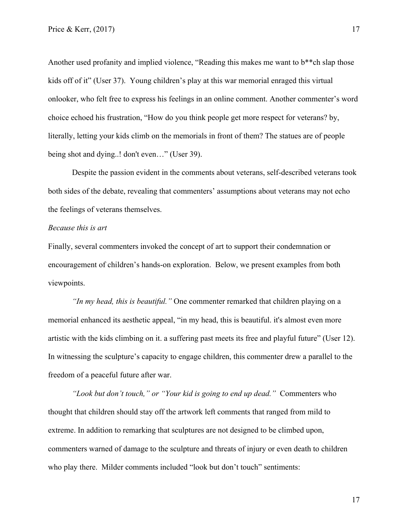Another used profanity and implied violence, "Reading this makes me want to b\*\*ch slap those kids off of it" (User 37). Young children's play at this war memorial enraged this virtual onlooker, who felt free to express his feelings in an online comment. Another commenter's word choice echoed his frustration, "How do you think people get more respect for veterans? by, literally, letting your kids climb on the memorials in front of them? The statues are of people being shot and dying..! don't even…" (User 39).

Despite the passion evident in the comments about veterans, self-described veterans took both sides of the debate, revealing that commenters' assumptions about veterans may not echo the feelings of veterans themselves.

# *Because this is art*

Finally, several commenters invoked the concept of art to support their condemnation or encouragement of children's hands-on exploration. Below, we present examples from both viewpoints.

*"In my head, this is beautiful."* One commenter remarked that children playing on a memorial enhanced its aesthetic appeal, "in my head, this is beautiful. it's almost even more artistic with the kids climbing on it. a suffering past meets its free and playful future" (User 12). In witnessing the sculpture's capacity to engage children, this commenter drew a parallel to the freedom of a peaceful future after war.

*"Look but don't touch," or "Your kid is going to end up dead."* Commenters who thought that children should stay off the artwork left comments that ranged from mild to extreme. In addition to remarking that sculptures are not designed to be climbed upon, commenters warned of damage to the sculpture and threats of injury or even death to children who play there. Milder comments included "look but don't touch" sentiments: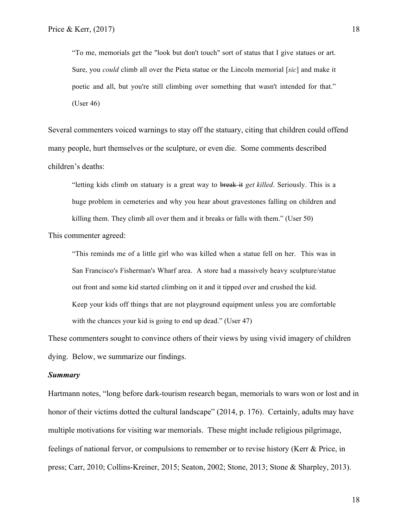"To me, memorials get the "look but don't touch" sort of status that I give statues or art. Sure, you *could* climb all over the Pieta statue or the Lincoln memorial [*sic*] and make it poetic and all, but you're still climbing over something that wasn't intended for that." (User 46)

Several commenters voiced warnings to stay off the statuary, citing that children could offend many people, hurt themselves or the sculpture, or even die. Some comments described children's deaths:

"letting kids climb on statuary is a great way to break it *get killed*. Seriously. This is a huge problem in cemeteries and why you hear about gravestones falling on children and killing them. They climb all over them and it breaks or falls with them." (User 50)

This commenter agreed:

"This reminds me of a little girl who was killed when a statue fell on her. This was in San Francisco's Fisherman's Wharf area. A store had a massively heavy sculpture/statue out front and some kid started climbing on it and it tipped over and crushed the kid. Keep your kids off things that are not playground equipment unless you are comfortable with the chances your kid is going to end up dead." (User 47)

These commenters sought to convince others of their views by using vivid imagery of children dying. Below, we summarize our findings.

## *Summary*

Hartmann notes, "long before dark-tourism research began, memorials to wars won or lost and in honor of their victims dotted the cultural landscape" (2014, p. 176). Certainly, adults may have multiple motivations for visiting war memorials. These might include religious pilgrimage, feelings of national fervor, or compulsions to remember or to revise history (Kerr & Price, in press; Carr, 2010; Collins-Kreiner, 2015; Seaton, 2002; Stone, 2013; Stone & Sharpley, 2013).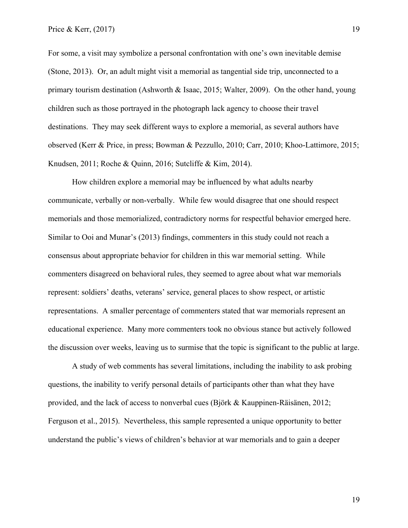For some, a visit may symbolize a personal confrontation with one's own inevitable demise (Stone, 2013). Or, an adult might visit a memorial as tangential side trip, unconnected to a primary tourism destination (Ashworth & Isaac, 2015; Walter, 2009). On the other hand, young children such as those portrayed in the photograph lack agency to choose their travel destinations. They may seek different ways to explore a memorial, as several authors have observed (Kerr & Price, in press; Bowman & Pezzullo, 2010; Carr, 2010; Khoo-Lattimore, 2015; Knudsen, 2011; Roche & Quinn, 2016; Sutcliffe & Kim, 2014).

How children explore a memorial may be influenced by what adults nearby communicate, verbally or non-verbally. While few would disagree that one should respect memorials and those memorialized, contradictory norms for respectful behavior emerged here. Similar to Ooi and Munar's (2013) findings, commenters in this study could not reach a consensus about appropriate behavior for children in this war memorial setting. While commenters disagreed on behavioral rules, they seemed to agree about what war memorials represent: soldiers' deaths, veterans' service, general places to show respect, or artistic representations. A smaller percentage of commenters stated that war memorials represent an educational experience. Many more commenters took no obvious stance but actively followed the discussion over weeks, leaving us to surmise that the topic is significant to the public at large.

A study of web comments has several limitations, including the inability to ask probing questions, the inability to verify personal details of participants other than what they have provided, and the lack of access to nonverbal cues (Björk & Kauppinen-Räisänen, 2012; Ferguson et al., 2015). Nevertheless, this sample represented a unique opportunity to better understand the public's views of children's behavior at war memorials and to gain a deeper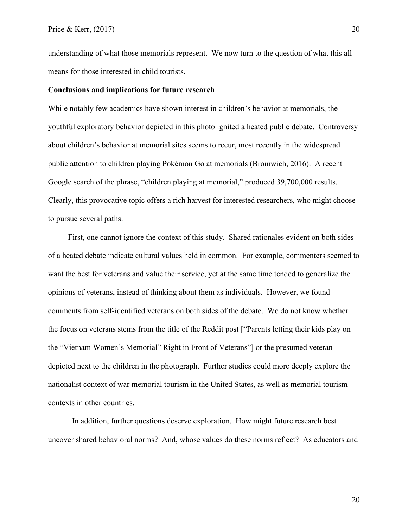understanding of what those memorials represent. We now turn to the question of what this all means for those interested in child tourists.

#### **Conclusions and implications for future research**

While notably few academics have shown interest in children's behavior at memorials, the youthful exploratory behavior depicted in this photo ignited a heated public debate. Controversy about children's behavior at memorial sites seems to recur, most recently in the widespread public attention to children playing Pokémon Go at memorials (Bromwich, 2016). A recent Google search of the phrase, "children playing at memorial," produced 39,700,000 results. Clearly, this provocative topic offers a rich harvest for interested researchers, who might choose to pursue several paths.

 First, one cannot ignore the context of this study. Shared rationales evident on both sides of a heated debate indicate cultural values held in common. For example, commenters seemed to want the best for veterans and value their service, yet at the same time tended to generalize the opinions of veterans, instead of thinking about them as individuals. However, we found comments from self-identified veterans on both sides of the debate. We do not know whether the focus on veterans stems from the title of the Reddit post ["Parents letting their kids play on the "Vietnam Women's Memorial" Right in Front of Veterans"] or the presumed veteran depicted next to the children in the photograph. Further studies could more deeply explore the nationalist context of war memorial tourism in the United States, as well as memorial tourism contexts in other countries.

In addition, further questions deserve exploration. How might future research best uncover shared behavioral norms? And, whose values do these norms reflect? As educators and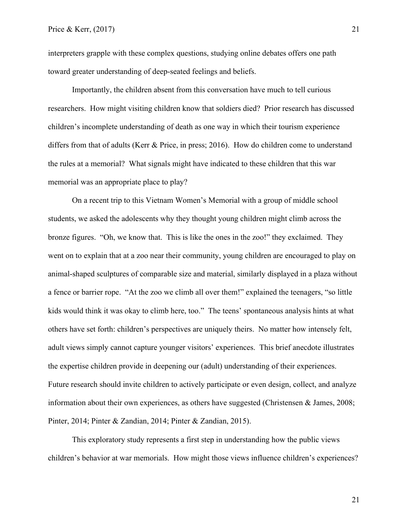interpreters grapple with these complex questions, studying online debates offers one path toward greater understanding of deep-seated feelings and beliefs.

Importantly, the children absent from this conversation have much to tell curious researchers. How might visiting children know that soldiers died? Prior research has discussed children's incomplete understanding of death as one way in which their tourism experience differs from that of adults (Kerr & Price, in press; 2016). How do children come to understand the rules at a memorial? What signals might have indicated to these children that this war memorial was an appropriate place to play?

On a recent trip to this Vietnam Women's Memorial with a group of middle school students, we asked the adolescents why they thought young children might climb across the bronze figures. "Oh, we know that. This is like the ones in the zoo!" they exclaimed. They went on to explain that at a zoo near their community, young children are encouraged to play on animal-shaped sculptures of comparable size and material, similarly displayed in a plaza without a fence or barrier rope. "At the zoo we climb all over them!" explained the teenagers, "so little kids would think it was okay to climb here, too." The teens' spontaneous analysis hints at what others have set forth: children's perspectives are uniquely theirs. No matter how intensely felt, adult views simply cannot capture younger visitors' experiences. This brief anecdote illustrates the expertise children provide in deepening our (adult) understanding of their experiences. Future research should invite children to actively participate or even design, collect, and analyze information about their own experiences, as others have suggested (Christensen & James, 2008; Pinter, 2014; Pinter & Zandian, 2014; Pinter & Zandian, 2015).

This exploratory study represents a first step in understanding how the public views children's behavior at war memorials. How might those views influence children's experiences?

21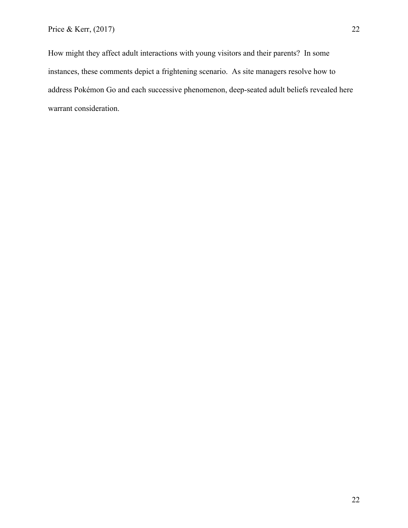How might they affect adult interactions with young visitors and their parents? In some instances, these comments depict a frightening scenario. As site managers resolve how to address Pokémon Go and each successive phenomenon, deep-seated adult beliefs revealed here warrant consideration.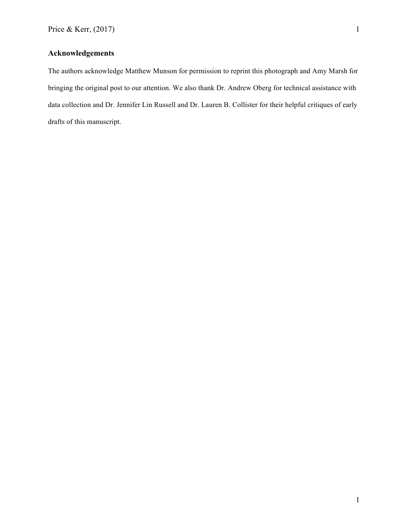# **Acknowledgements**

The authors acknowledge Matthew Munson for permission to reprint this photograph and Amy Marsh for bringing the original post to our attention. We also thank Dr. Andrew Oberg for technical assistance with data collection and Dr. Jennifer Lin Russell and Dr. Lauren B. Collister for their helpful critiques of early drafts of this manuscript.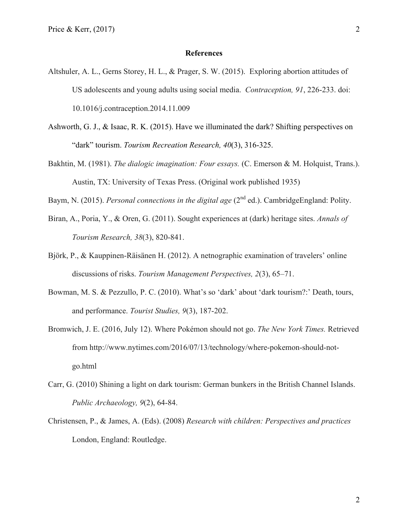#### **References**

- Altshuler, A. L., Gerns Storey, H. L., & Prager, S. W. (2015). Exploring abortion attitudes of US adolescents and young adults using social media. *Contraception, 91*, 226-233. doi: 10.1016/j.contraception.2014.11.009
- Ashworth, G. J., & Isaac, R. K. (2015). Have we illuminated the dark? Shifting perspectives on "dark" tourism. *Tourism Recreation Research, 40*(3), 316-325.
- Bakhtin, M. (1981). *The dialogic imagination: Four essays.* (C. Emerson & M. Holquist, Trans.). Austin, TX: University of Texas Press. (Original work published 1935)
- Baym, N. (2015). *Personal connections in the digital age* (2<sup>nd</sup> ed.). CambridgeEngland: Polity.
- Biran, A., Poria, Y., & Oren, G. (2011). Sought experiences at (dark) heritage sites. *Annals of Tourism Research, 38*(3), 820-841.
- Björk, P., & Kauppinen-Räisänen H. (2012). A netnographic examination of travelers' online discussions of risks. *Tourism Management Perspectives, 2*(3), 65–71.
- Bowman, M. S. & Pezzullo, P. C. (2010). What's so 'dark' about 'dark tourism?:' Death, tours, and performance. *Tourist Studies, 9*(3), 187-202.
- Bromwich, J. E. (2016, July 12). Where Pokémon should not go. *The New York Times.* Retrieved from http://www.nytimes.com/2016/07/13/technology/where-pokemon-should-notgo.html
- Carr, G. (2010) Shining a light on dark tourism: German bunkers in the British Channel Islands. *Public Archaeology, 9*(2), 64-84.
- Christensen, P., & James, A. (Eds). (2008) *Research with children: Perspectives and practices*  London, England: Routledge.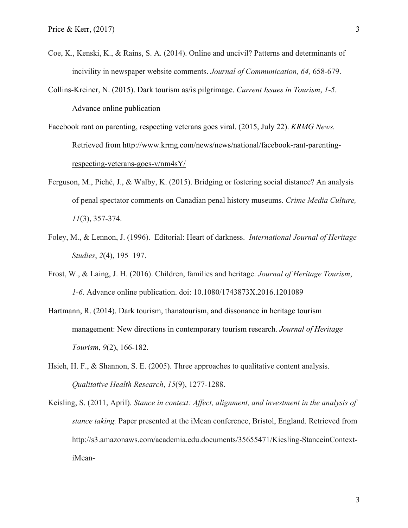- Coe, K., Kenski, K., & Rains, S. A. (2014). Online and uncivil? Patterns and determinants of incivility in newspaper website comments. *Journal of Communication, 64,* 658-679.
- Collins-Kreiner, N. (2015). Dark tourism as/is pilgrimage. *Current Issues in Tourism*, *1-5*. Advance online publication

Facebook rant on parenting, respecting veterans goes viral. (2015, July 22). *KRMG News.* Retrieved from http://www.krmg.com/news/news/national/facebook-rant-parentingrespecting-veterans-goes-v/nm4sY/

- Ferguson, M., Piché, J., & Walby, K. (2015). Bridging or fostering social distance? An analysis of penal spectator comments on Canadian penal history museums. *Crime Media Culture, 11*(3), 357-374.
- Foley, M., & Lennon, J. (1996). Editorial: Heart of darkness. *International Journal of Heritage Studies*, *2*(4), 195–197.
- Frost, W., & Laing, J. H. (2016). Children, families and heritage. *Journal of Heritage Tourism*, *1-6*. Advance online publication. doi: 10.1080/1743873X.2016.1201089
- Hartmann, R. (2014). Dark tourism, thanatourism, and dissonance in heritage tourism management: New directions in contemporary tourism research. *Journal of Heritage Tourism*, *9*(2), 166-182.
- Hsieh, H. F., & Shannon, S. E. (2005). Three approaches to qualitative content analysis. *Qualitative Health Research*, *15*(9), 1277-1288.

Keisling, S. (2011, April). *Stance in context: Affect, alignment, and investment in the analysis of stance taking.* Paper presented at the iMean conference, Bristol, England. Retrieved from http://s3.amazonaws.com/academia.edu.documents/35655471/Kiesling-StanceinContextiMean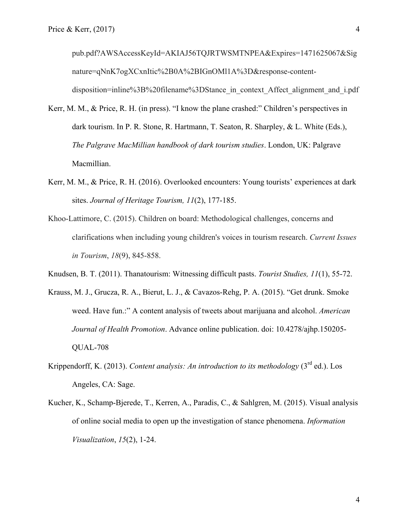pub.pdf?AWSAccessKeyId=AKIAJ56TQJRTWSMTNPEA&Expires=1471625067&Sig nature=qNnK7ogXCxnItic%2B0A%2BIGnOMl1A%3D&response-contentdisposition=inline%3B%20filename%3DStance\_in\_context\_Affect\_alignment\_and\_i.pdf

- Kerr, M. M., & Price, R. H. (in press). "I know the plane crashed:" Children's perspectives in dark tourism. In P. R. Stone, R. Hartmann, T. Seaton, R. Sharpley, & L. White (Eds.), *The Palgrave MacMillian handbook of dark tourism studies*. London, UK: Palgrave Macmillian.
- Kerr, M. M., & Price, R. H. (2016). Overlooked encounters: Young tourists' experiences at dark sites. *Journal of Heritage Tourism, 11*(2), 177-185.
- Khoo-Lattimore, C. (2015). Children on board: Methodological challenges, concerns and clarifications when including young children's voices in tourism research. *Current Issues in Tourism*, *18*(9), 845-858.
- Knudsen, B. T. (2011). Thanatourism: Witnessing difficult pasts. *Tourist Studies, 11*(1), 55-72.
- Krauss, M. J., Grucza, R. A., Bierut, L. J., & Cavazos-Rehg, P. A. (2015). "Get drunk. Smoke weed. Have fun.:" A content analysis of tweets about marijuana and alcohol. *American Journal of Health Promotion*. Advance online publication. doi: 10.4278/ajhp.150205- QUAL-708
- Krippendorff, K. (2013). *Content analysis: An introduction to its methodology* (3<sup>rd</sup> ed.). Los Angeles, CA: Sage.
- Kucher, K., Schamp-Bjerede, T., Kerren, A., Paradis, C., & Sahlgren, M. (2015). Visual analysis of online social media to open up the investigation of stance phenomena. *Information Visualization*, *15*(2), 1-24.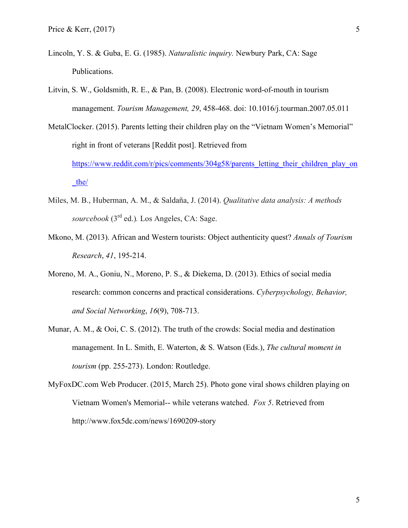- Lincoln, Y. S. & Guba, E. G. (1985). *Naturalistic inquiry.* Newbury Park, CA: Sage Publications.
- Litvin, S. W., Goldsmith, R. E., & Pan, B. (2008). Electronic word-of-mouth in tourism management. *Tourism Management, 29*, 458-468. doi: 10.1016/j.tourman.2007.05.011
- MetalClocker. (2015). Parents letting their children play on the "Vietnam Women's Memorial" right in front of veterans [Reddit post]. Retrieved from https://www.reddit.com/r/pics/comments/304g58/parents letting their children play on \_the/
- Miles, M. B., Huberman, A. M., & Saldaña, J. (2014). *Qualitative data analysis: A methods sourcebook* (3rd ed.)*.* Los Angeles, CA: Sage.
- Mkono, M. (2013). African and Western tourists: Object authenticity quest? *Annals of Tourism Research*, *41*, 195-214.
- Moreno, M. A., Goniu, N., Moreno, P. S., & Diekema, D. (2013). Ethics of social media research: common concerns and practical considerations. *Cyberpsychology, Behavior, and Social Networking*, *16*(9), 708-713.
- Munar, A. M., & Ooi, C. S. (2012). The truth of the crowds: Social media and destination management. In L. Smith, E. Waterton, & S. Watson (Eds.), *The cultural moment in tourism* (pp. 255-273). London: Routledge.
- MyFoxDC.com Web Producer. (2015, March 25). Photo gone viral shows children playing on Vietnam Women's Memorial-- while veterans watched. *Fox 5*. Retrieved from http://www.fox5dc.com/news/1690209-story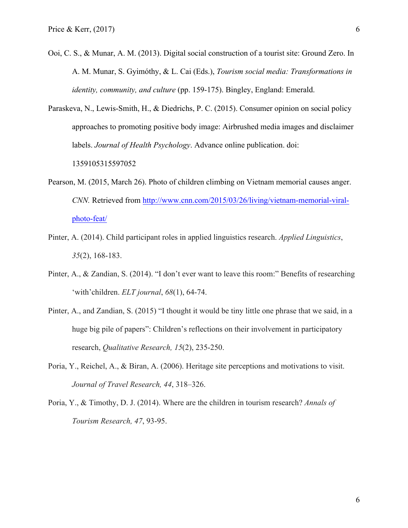- Ooi, C. S., & Munar, A. M. (2013). Digital social construction of a tourist site: Ground Zero. In A. M. Munar, S. Gyimóthy, & L. Cai (Eds.), *Tourism social media: Transformations in identity, community, and culture* (pp. 159-175). Bingley, England: Emerald.
- Paraskeva, N., Lewis-Smith, H., & Diedrichs, P. C. (2015). Consumer opinion on social policy approaches to promoting positive body image: Airbrushed media images and disclaimer labels. *Journal of Health Psychology*. Advance online publication. doi: 1359105315597052
- Pearson, M. (2015, March 26). Photo of children climbing on Vietnam memorial causes anger. *CNN.* Retrieved from http://www.cnn.com/2015/03/26/living/vietnam-memorial-viralphoto-feat/
- Pinter, A. (2014). Child participant roles in applied linguistics research. *Applied Linguistics*, *35*(2), 168-183.
- Pinter, A., & Zandian, S. (2014). "I don't ever want to leave this room:" Benefits of researching 'with'children. *ELT journal*, *68*(1), 64-74.
- Pinter, A., and Zandian, S. (2015) "I thought it would be tiny little one phrase that we said, in a huge big pile of papers": Children's reflections on their involvement in participatory research, *Qualitative Research, 15*(2), 235-250.
- Poria, Y., Reichel, A., & Biran, A. (2006). Heritage site perceptions and motivations to visit. *Journal of Travel Research, 44*, 318–326.
- Poria, Y., & Timothy, D. J. (2014). Where are the children in tourism research? *Annals of Tourism Research, 47*, 93-95.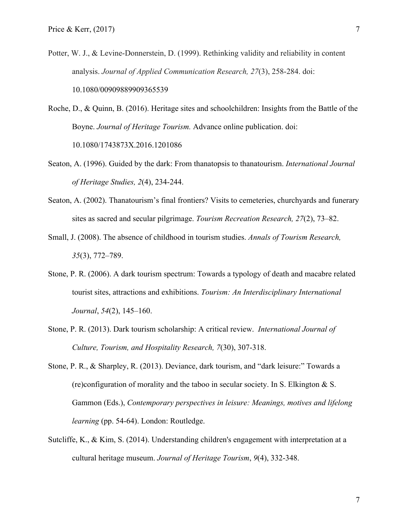Potter, W. J., & Levine-Donnerstein, D. (1999). Rethinking validity and reliability in content analysis. *Journal of Applied Communication Research, 27*(3), 258-284. doi: 10.1080/00909889909365539

Roche, D., & Quinn, B. (2016). Heritage sites and schoolchildren: Insights from the Battle of the Boyne. *Journal of Heritage Tourism.* Advance online publication. doi: 10.1080/1743873X.2016.1201086

- Seaton, A. (1996). Guided by the dark: From thanatopsis to thanatourism. *International Journal of Heritage Studies, 2*(4), 234-244.
- Seaton, A. (2002). Thanatourism's final frontiers? Visits to cemeteries, churchyards and funerary sites as sacred and secular pilgrimage. *Tourism Recreation Research, 27*(2), 73–82.
- Small, J. (2008). The absence of childhood in tourism studies. *Annals of Tourism Research, 35*(3), 772–789.
- Stone, P. R. (2006). A dark tourism spectrum: Towards a typology of death and macabre related tourist sites, attractions and exhibitions. *Tourism: An Interdisciplinary International Journal*, *54*(2), 145–160.
- Stone, P. R. (2013). Dark tourism scholarship: A critical review. *International Journal of Culture, Tourism, and Hospitality Research, 7*(30), 307-318.
- Stone, P. R., & Sharpley, R. (2013). Deviance, dark tourism, and "dark leisure:" Towards a (re)configuration of morality and the taboo in secular society. In S. Elkington  $\& S$ . Gammon (Eds.), *Contemporary perspectives in leisure: Meanings, motives and lifelong learning* (pp. 54-64). London: Routledge.
- Sutcliffe, K., & Kim, S. (2014). Understanding children's engagement with interpretation at a cultural heritage museum. *Journal of Heritage Tourism*, *9*(4), 332-348.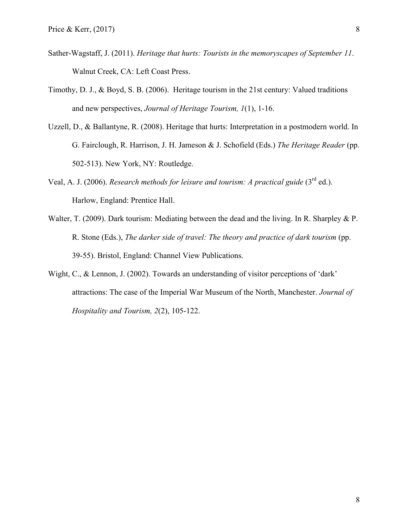- Sather-Wagstaff, J. (2011). *Heritage that hurts: Tourists in the memoryscapes of September 11*. Walnut Creek, CA: Left Coast Press.
- Timothy, D. J., & Boyd, S. B. (2006). Heritage tourism in the 21st century: Valued traditions and new perspectives, *Journal of Heritage Tourism, 1*(1), 1-16.
- Uzzell, D., & Ballantyne, R. (2008). Heritage that hurts: Interpretation in a postmodern world. In G. Fairclough, R. Harrison, J. H. Jameson & J. Schofield (Eds.) *The Heritage Reader* (pp. 502-513). New York, NY: Routledge.
- Veal, A. J. (2006). *Research methods for leisure and tourism: A practical guide* (3rd ed.). Harlow, England: Prentice Hall.
- Walter, T. (2009). Dark tourism: Mediating between the dead and the living. In R. Sharpley & P. R. Stone (Eds.), *The darker side of travel: The theory and practice of dark tourism* (pp. 39-55). Bristol, England: Channel View Publications.
- Wight, C., & Lennon, J. (2002). Towards an understanding of visitor perceptions of 'dark' attractions: The case of the Imperial War Museum of the North, Manchester. *Journal of Hospitality and Tourism, 2*(2), 105-122.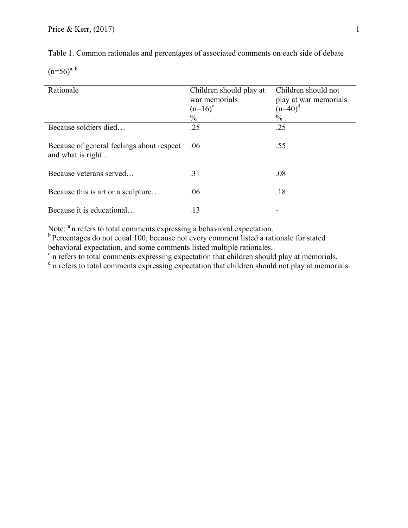| Table 1. Common rationales and percentages of associated comments on each side of debate |  |
|------------------------------------------------------------------------------------------|--|
|------------------------------------------------------------------------------------------|--|

 $(n=56)^{a, b}$ 

| Rationale                                                      | Children should play at<br>war memorials<br>$(n=16)^{c}$<br>$\frac{0}{0}$ | Children should not<br>play at war memorials<br>$(n=40)^d$<br>$\frac{0}{0}$ |
|----------------------------------------------------------------|---------------------------------------------------------------------------|-----------------------------------------------------------------------------|
| Because soldiers died                                          | .25                                                                       | .25                                                                         |
| Because of general feelings about respect<br>and what is right | .06                                                                       | .55                                                                         |
| Because veterans served                                        | .31                                                                       | .08                                                                         |
| Because this is art or a sculpture                             | .06                                                                       | .18                                                                         |
| Because it is educational                                      | .13                                                                       |                                                                             |

Note: <sup>a</sup>n refers to total comments expressing a behavioral expectation.

<sup>b</sup> Percentages do not equal 100, because not every comment listed a rationale for stated behavioral expectation, and some comments listed multiple rationales.

 $\epsilon$  n refers to total comments expressing expectation that children should play at memorials.

<sup>d</sup> n refers to total comments expressing expectation that children should not play at memorials.